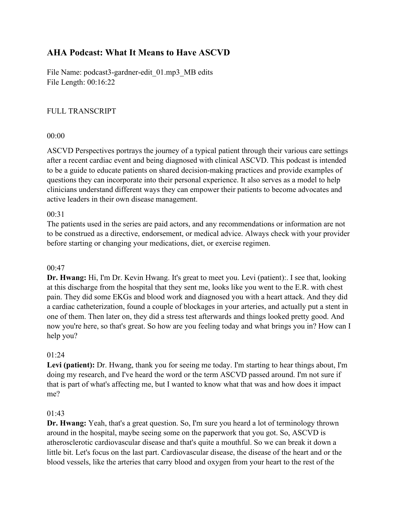# **AHA Podcast: What It Means to Have ASCVD**

File Name: podcast3-gardner-edit 01.mp3 MB edits File Length: 00:16:22

# FULL TRANSCRIPT

### 00:00

ASCVD Perspectives portrays the journey of a typical patient through their various care settings after a recent cardiac event and being diagnosed with clinical ASCVD. This podcast is intended to be a guide to educate patients on shared decision-making practices and provide examples of questions they can incorporate into their personal experience. It also serves as a model to help clinicians understand different ways they can empower their patients to become advocates and active leaders in their own disease management.

#### 00:31

The patients used in the series are paid actors, and any recommendations or information are not to be construed as a directive, endorsement, or medical advice. Always check with your provider before starting or changing your medications, diet, or exercise regimen.

#### 00:47

**Dr. Hwang:** Hi, I'm Dr. Kevin Hwang. It's great to meet you. Levi (patient):. I see that, looking at this discharge from the hospital that they sent me, looks like you went to the E.R. with chest pain. They did some EKGs and blood work and diagnosed you with a heart attack. And they did a cardiac catheterization, found a couple of blockages in your arteries, and actually put a stent in one of them. Then later on, they did a stress test afterwards and things looked pretty good. And now you're here, so that's great. So how are you feeling today and what brings you in? How can I help you?

#### 01:24

Levi (patient): Dr. Hwang, thank you for seeing me today. I'm starting to hear things about, I'm doing my research, and I've heard the word or the term ASCVD passed around. I'm not sure if that is part of what's affecting me, but I wanted to know what that was and how does it impact me?

#### 01:43

**Dr. Hwang:** Yeah, that's a great question. So, I'm sure you heard a lot of terminology thrown around in the hospital, maybe seeing some on the paperwork that you got. So, ASCVD is atherosclerotic cardiovascular disease and that's quite a mouthful. So we can break it down a little bit. Let's focus on the last part. Cardiovascular disease, the disease of the heart and or the blood vessels, like the arteries that carry blood and oxygen from your heart to the rest of the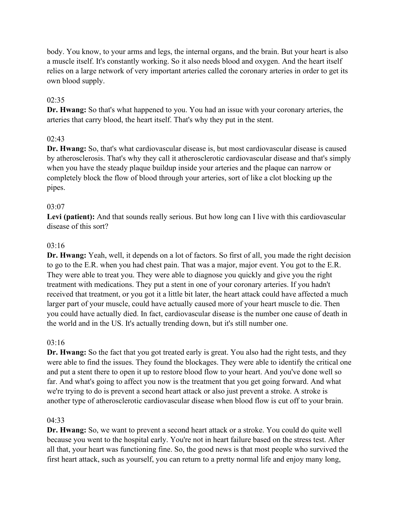body. You know, to your arms and legs, the internal organs, and the brain. But your heart is also a muscle itself. It's constantly working. So it also needs blood and oxygen. And the heart itself relies on a large network of very important arteries called the coronary arteries in order to get its own blood supply.

# 02:35

**Dr. Hwang:** So that's what happened to you. You had an issue with your coronary arteries, the arteries that carry blood, the heart itself. That's why they put in the stent.

### 02:43

**Dr. Hwang:** So, that's what cardiovascular disease is, but most cardiovascular disease is caused by atherosclerosis. That's why they call it atherosclerotic cardiovascular disease and that's simply when you have the steady plaque buildup inside your arteries and the plaque can narrow or completely block the flow of blood through your arteries, sort of like a clot blocking up the pipes.

### 03:07

**Levi (patient):** And that sounds really serious. But how long can I live with this cardiovascular disease of this sort?

### 03:16

**Dr. Hwang:** Yeah, well, it depends on a lot of factors. So first of all, you made the right decision to go to the E.R. when you had chest pain. That was a major, major event. You got to the E.R. They were able to treat you. They were able to diagnose you quickly and give you the right treatment with medications. They put a stent in one of your coronary arteries. If you hadn't received that treatment, or you got it a little bit later, the heart attack could have affected a much larger part of your muscle, could have actually caused more of your heart muscle to die. Then you could have actually died. In fact, cardiovascular disease is the number one cause of death in the world and in the US. It's actually trending down, but it's still number one.

#### 03:16

**Dr. Hwang:** So the fact that you got treated early is great. You also had the right tests, and they were able to find the issues. They found the blockages. They were able to identify the critical one and put a stent there to open it up to restore blood flow to your heart. And you've done well so far. And what's going to affect you now is the treatment that you get going forward. And what we're trying to do is prevent a second heart attack or also just prevent a stroke. A stroke is another type of atherosclerotic cardiovascular disease when blood flow is cut off to your brain.

#### 04:33

**Dr. Hwang:** So, we want to prevent a second heart attack or a stroke. You could do quite well because you went to the hospital early. You're not in heart failure based on the stress test. After all that, your heart was functioning fine. So, the good news is that most people who survived the first heart attack, such as yourself, you can return to a pretty normal life and enjoy many long,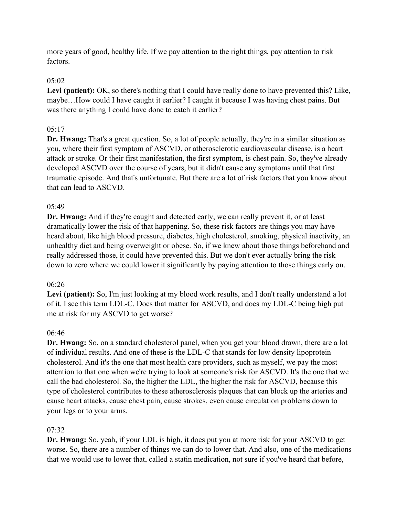more years of good, healthy life. If we pay attention to the right things, pay attention to risk factors.

# $05:02$

Levi (patient): OK, so there's nothing that I could have really done to have prevented this? Like, maybe…How could I have caught it earlier? I caught it because I was having chest pains. But was there anything I could have done to catch it earlier?

# 05:17

**Dr. Hwang:** That's a great question. So, a lot of people actually, they're in a similar situation as you, where their first symptom of ASCVD, or atherosclerotic cardiovascular disease, is a heart attack or stroke. Or their first manifestation, the first symptom, is chest pain. So, they've already developed ASCVD over the course of years, but it didn't cause any symptoms until that first traumatic episode. And that's unfortunate. But there are a lot of risk factors that you know about that can lead to ASCVD.

### 05:49

**Dr. Hwang:** And if they're caught and detected early, we can really prevent it, or at least dramatically lower the risk of that happening. So, these risk factors are things you may have heard about, like high blood pressure, diabetes, high cholesterol, smoking, physical inactivity, an unhealthy diet and being overweight or obese. So, if we knew about those things beforehand and really addressed those, it could have prevented this. But we don't ever actually bring the risk down to zero where we could lower it significantly by paying attention to those things early on.

### 06:26

Levi (patient): So, I'm just looking at my blood work results, and I don't really understand a lot of it. I see this term LDL-C. Does that matter for ASCVD, and does my LDL-C being high put me at risk for my ASCVD to get worse?

### 06:46

**Dr. Hwang:** So, on a standard cholesterol panel, when you get your blood drawn, there are a lot of individual results. And one of these is the LDL-C that stands for low density lipoprotein cholesterol. And it's the one that most health care providers, such as myself, we pay the most attention to that one when we're trying to look at someone's risk for ASCVD. It's the one that we call the bad cholesterol. So, the higher the LDL, the higher the risk for ASCVD, because this type of cholesterol contributes to these atherosclerosis plaques that can block up the arteries and cause heart attacks, cause chest pain, cause strokes, even cause circulation problems down to your legs or to your arms.

### 07:32

**Dr. Hwang:** So, yeah, if your LDL is high, it does put you at more risk for your ASCVD to get worse. So, there are a number of things we can do to lower that. And also, one of the medications that we would use to lower that, called a statin medication, not sure if you've heard that before,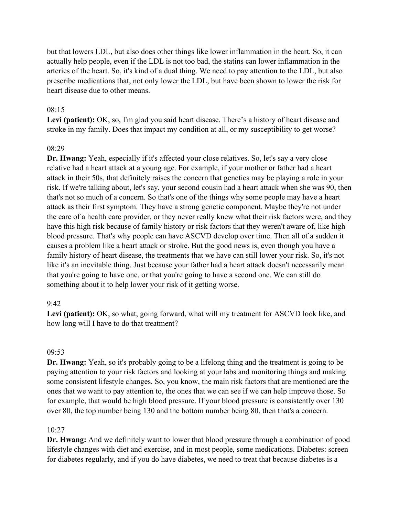but that lowers LDL, but also does other things like lower inflammation in the heart. So, it can actually help people, even if the LDL is not too bad, the statins can lower inflammation in the arteries of the heart. So, it's kind of a dual thing. We need to pay attention to the LDL, but also prescribe medications that, not only lower the LDL, but have been shown to lower the risk for heart disease due to other means.

### 08:15

Levi (patient): OK, so, I'm glad you said heart disease. There's a history of heart disease and stroke in my family. Does that impact my condition at all, or my susceptibility to get worse?

#### 08:29

**Dr. Hwang:** Yeah, especially if it's affected your close relatives. So, let's say a very close relative had a heart attack at a young age. For example, if your mother or father had a heart attack in their 50s, that definitely raises the concern that genetics may be playing a role in your risk. If we're talking about, let's say, your second cousin had a heart attack when she was 90, then that's not so much of a concern. So that's one of the things why some people may have a heart attack as their first symptom. They have a strong genetic component. Maybe they're not under the care of a health care provider, or they never really knew what their risk factors were, and they have this high risk because of family history or risk factors that they weren't aware of, like high blood pressure. That's why people can have ASCVD develop over time. Then all of a sudden it causes a problem like a heart attack or stroke. But the good news is, even though you have a family history of heart disease, the treatments that we have can still lower your risk. So, it's not like it's an inevitable thing. Just because your father had a heart attack doesn't necessarily mean that you're going to have one, or that you're going to have a second one. We can still do something about it to help lower your risk of it getting worse.

#### 9:42

**Levi (patient):** OK, so what, going forward, what will my treatment for ASCVD look like, and how long will I have to do that treatment?

#### 09:53

**Dr. Hwang:** Yeah, so it's probably going to be a lifelong thing and the treatment is going to be paying attention to your risk factors and looking at your labs and monitoring things and making some consistent lifestyle changes. So, you know, the main risk factors that are mentioned are the ones that we want to pay attention to, the ones that we can see if we can help improve those. So for example, that would be high blood pressure. If your blood pressure is consistently over 130 over 80, the top number being 130 and the bottom number being 80, then that's a concern.

#### 10:27

**Dr. Hwang:** And we definitely want to lower that blood pressure through a combination of good lifestyle changes with diet and exercise, and in most people, some medications. Diabetes: screen for diabetes regularly, and if you do have diabetes, we need to treat that because diabetes is a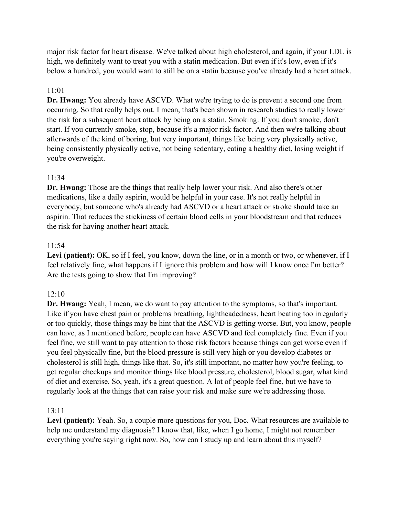major risk factor for heart disease. We've talked about high cholesterol, and again, if your LDL is high, we definitely want to treat you with a statin medication. But even if it's low, even if it's below a hundred, you would want to still be on a statin because you've already had a heart attack.

### 11:01

**Dr. Hwang:** You already have ASCVD. What we're trying to do is prevent a second one from occurring. So that really helps out. I mean, that's been shown in research studies to really lower the risk for a subsequent heart attack by being on a statin. Smoking: If you don't smoke, don't start. If you currently smoke, stop, because it's a major risk factor. And then we're talking about afterwards of the kind of boring, but very important, things like being very physically active, being consistently physically active, not being sedentary, eating a healthy diet, losing weight if you're overweight.

# 11:34

**Dr. Hwang:** Those are the things that really help lower your risk. And also there's other medications, like a daily aspirin, would be helpful in your case. It's not really helpful in everybody, but someone who's already had ASCVD or a heart attack or stroke should take an aspirin. That reduces the stickiness of certain blood cells in your bloodstream and that reduces the risk for having another heart attack.

### 11:54

Levi (patient): OK, so if I feel, you know, down the line, or in a month or two, or whenever, if I feel relatively fine, what happens if I ignore this problem and how will I know once I'm better? Are the tests going to show that I'm improving?

### 12:10

**Dr. Hwang:** Yeah, I mean, we do want to pay attention to the symptoms, so that's important. Like if you have chest pain or problems breathing, lightheadedness, heart beating too irregularly or too quickly, those things may be hint that the ASCVD is getting worse. But, you know, people can have, as I mentioned before, people can have ASCVD and feel completely fine. Even if you feel fine, we still want to pay attention to those risk factors because things can get worse even if you feel physically fine, but the blood pressure is still very high or you develop diabetes or cholesterol is still high, things like that. So, it's still important, no matter how you're feeling, to get regular checkups and monitor things like blood pressure, cholesterol, blood sugar, what kind of diet and exercise. So, yeah, it's a great question. A lot of people feel fine, but we have to regularly look at the things that can raise your risk and make sure we're addressing those.

### 13:11

**Levi (patient):** Yeah. So, a couple more questions for you, Doc. What resources are available to help me understand my diagnosis? I know that, like, when I go home, I might not remember everything you're saying right now. So, how can I study up and learn about this myself?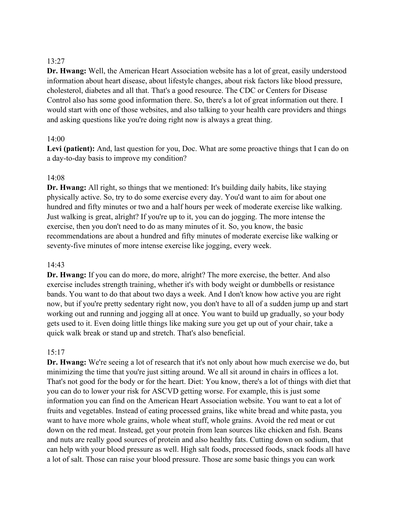# 13:27

**Dr. Hwang:** Well, the American Heart Association website has a lot of great, easily understood information about heart disease, about lifestyle changes, about risk factors like blood pressure, cholesterol, diabetes and all that. That's a good resource. The CDC or Centers for Disease Control also has some good information there. So, there's a lot of great information out there. I would start with one of those websites, and also talking to your health care providers and things and asking questions like you're doing right now is always a great thing.

### 14:00

Levi (patient): And, last question for you, Doc. What are some proactive things that I can do on a day-to-day basis to improve my condition?

### 14:08

**Dr. Hwang:** All right, so things that we mentioned: It's building daily habits, like staying physically active. So, try to do some exercise every day. You'd want to aim for about one hundred and fifty minutes or two and a half hours per week of moderate exercise like walking. Just walking is great, alright? If you're up to it, you can do jogging. The more intense the exercise, then you don't need to do as many minutes of it. So, you know, the basic recommendations are about a hundred and fifty minutes of moderate exercise like walking or seventy-five minutes of more intense exercise like jogging, every week.

#### 14:43

**Dr. Hwang:** If you can do more, do more, alright? The more exercise, the better. And also exercise includes strength training, whether it's with body weight or dumbbells or resistance bands. You want to do that about two days a week. And I don't know how active you are right now, but if you're pretty sedentary right now, you don't have to all of a sudden jump up and start working out and running and jogging all at once. You want to build up gradually, so your body gets used to it. Even doing little things like making sure you get up out of your chair, take a quick walk break or stand up and stretch. That's also beneficial.

### 15:17

**Dr. Hwang:** We're seeing a lot of research that it's not only about how much exercise we do, but minimizing the time that you're just sitting around. We all sit around in chairs in offices a lot. That's not good for the body or for the heart. Diet: You know, there's a lot of things with diet that you can do to lower your risk for ASCVD getting worse. For example, this is just some information you can find on the American Heart Association website. You want to eat a lot of fruits and vegetables. Instead of eating processed grains, like white bread and white pasta, you want to have more whole grains, whole wheat stuff, whole grains. Avoid the red meat or cut down on the red meat. Instead, get your protein from lean sources like chicken and fish. Beans and nuts are really good sources of protein and also healthy fats. Cutting down on sodium, that can help with your blood pressure as well. High salt foods, processed foods, snack foods all have a lot of salt. Those can raise your blood pressure. Those are some basic things you can work